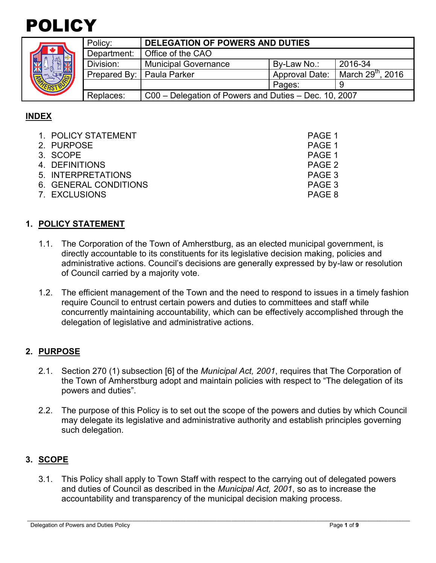

| 躣 | Policy:                     | DELEGATION OF POWERS AND DUTIES                       |                       |                               |  |
|---|-----------------------------|-------------------------------------------------------|-----------------------|-------------------------------|--|
|   | Department:                 | Office of the CAO                                     |                       |                               |  |
|   | Division:                   | <b>Municipal Governance</b>                           | By-Law No.:           | 2016-34                       |  |
|   | Prepared By:   Paula Parker |                                                       | <b>Approval Date:</b> | March 29 <sup>th</sup> , 2016 |  |
|   |                             |                                                       | Pages:                |                               |  |
|   | Replaces:                   | C00 - Delegation of Powers and Duties - Dec. 10, 2007 |                       |                               |  |

# **INDEX**

| 1. POLICY STATEMENT   | PAGE 1 |
|-----------------------|--------|
| 2. PURPOSE            | PAGE 1 |
| 3. SCOPE              | PAGE 1 |
| 4. DEFINITIONS        | PAGE 2 |
| 5. INTERPRETATIONS    | PAGE 3 |
| 6. GENERAL CONDITIONS | PAGE 3 |
| 7. EXCLUSIONS         | PAGE 8 |

## **1. POLICY STATEMENT**

- 1.1. The Corporation of the Town of Amherstburg, as an elected municipal government, is directly accountable to its constituents for its legislative decision making, policies and administrative actions. Council's decisions are generally expressed by by-law or resolution of Council carried by a majority vote.
- 1.2. The efficient management of the Town and the need to respond to issues in a timely fashion require Council to entrust certain powers and duties to committees and staff while concurrently maintaining accountability, which can be effectively accomplished through the delegation of legislative and administrative actions.

## **2. PURPOSE**

- 2.1. Section 270 (1) subsection [6] of the *Municipal Act, 2001*, requires that The Corporation of the Town of Amherstburg adopt and maintain policies with respect to "The delegation of its powers and duties".
- 2.2. The purpose of this Policy is to set out the scope of the powers and duties by which Council may delegate its legislative and administrative authority and establish principles governing such delegation.

## **3. SCOPE**

3.1. This Policy shall apply to Town Staff with respect to the carrying out of delegated powers and duties of Council as described in the *Municipal Act, 2001*, so as to increase the accountability and transparency of the municipal decision making process.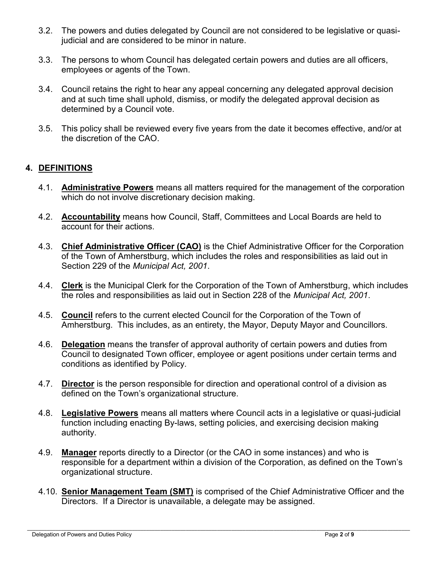- 3.2. The powers and duties delegated by Council are not considered to be legislative or quasijudicial and are considered to be minor in nature.
- 3.3. The persons to whom Council has delegated certain powers and duties are all officers, employees or agents of the Town.
- 3.4. Council retains the right to hear any appeal concerning any delegated approval decision and at such time shall uphold, dismiss, or modify the delegated approval decision as determined by a Council vote.
- 3.5. This policy shall be reviewed every five years from the date it becomes effective, and/or at the discretion of the CAO.

## **4. DEFINITIONS**

- 4.1. **Administrative Powers** means all matters required for the management of the corporation which do not involve discretionary decision making.
- 4.2. **Accountability** means how Council, Staff, Committees and Local Boards are held to account for their actions.
- 4.3. **Chief Administrative Officer (CAO)** is the Chief Administrative Officer for the Corporation of the Town of Amherstburg, which includes the roles and responsibilities as laid out in Section 229 of the *Municipal Act, 2001*.
- 4.4. **Clerk** is the Municipal Clerk for the Corporation of the Town of Amherstburg, which includes the roles and responsibilities as laid out in Section 228 of the *Municipal Act, 2001*.
- 4.5. **Council** refers to the current elected Council for the Corporation of the Town of Amherstburg. This includes, as an entirety, the Mayor, Deputy Mayor and Councillors.
- 4.6. **Delegation** means the transfer of approval authority of certain powers and duties from Council to designated Town officer, employee or agent positions under certain terms and conditions as identified by Policy.
- 4.7. **Director** is the person responsible for direction and operational control of a division as defined on the Town's organizational structure.
- 4.8. **Legislative Powers** means all matters where Council acts in a legislative or quasi-judicial function including enacting By-laws, setting policies, and exercising decision making authority.
- 4.9. **Manager** reports directly to a Director (or the CAO in some instances) and who is responsible for a department within a division of the Corporation, as defined on the Town's organizational structure.
- 4.10. **Senior Management Team (SMT)** is comprised of the Chief Administrative Officer and the Directors. If a Director is unavailable, a delegate may be assigned.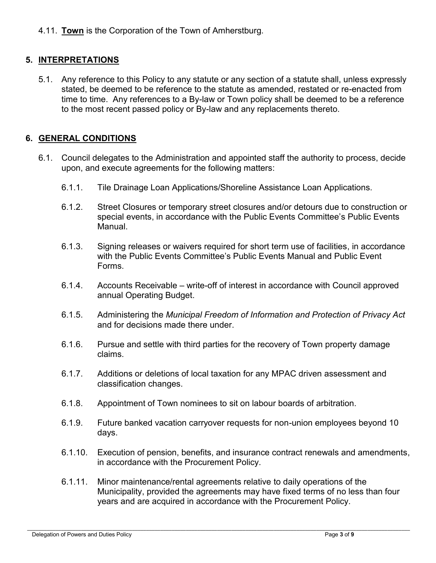4.11. **Town** is the Corporation of the Town of Amherstburg.

#### **5. INTERPRETATIONS**

5.1. Any reference to this Policy to any statute or any section of a statute shall, unless expressly stated, be deemed to be reference to the statute as amended, restated or re-enacted from time to time. Any references to a By-law or Town policy shall be deemed to be a reference to the most recent passed policy or By-law and any replacements thereto.

#### **6. GENERAL CONDITIONS**

- 6.1. Council delegates to the Administration and appointed staff the authority to process, decide upon, and execute agreements for the following matters:
	- 6.1.1. Tile Drainage Loan Applications/Shoreline Assistance Loan Applications.
	- 6.1.2. Street Closures or temporary street closures and/or detours due to construction or special events, in accordance with the Public Events Committee's Public Events Manual.
	- 6.1.3. Signing releases or waivers required for short term use of facilities, in accordance with the Public Events Committee's Public Events Manual and Public Event Forms.
	- 6.1.4. Accounts Receivable write-off of interest in accordance with Council approved annual Operating Budget.
	- 6.1.5. Administering the *Municipal Freedom of Information and Protection of Privacy Act* and for decisions made there under.
	- 6.1.6. Pursue and settle with third parties for the recovery of Town property damage claims.
	- 6.1.7. Additions or deletions of local taxation for any MPAC driven assessment and classification changes.
	- 6.1.8. Appointment of Town nominees to sit on labour boards of arbitration.
	- 6.1.9. Future banked vacation carryover requests for non-union employees beyond 10 days.
	- 6.1.10. Execution of pension, benefits, and insurance contract renewals and amendments, in accordance with the Procurement Policy.
	- 6.1.11. Minor maintenance/rental agreements relative to daily operations of the Municipality, provided the agreements may have fixed terms of no less than four years and are acquired in accordance with the Procurement Policy.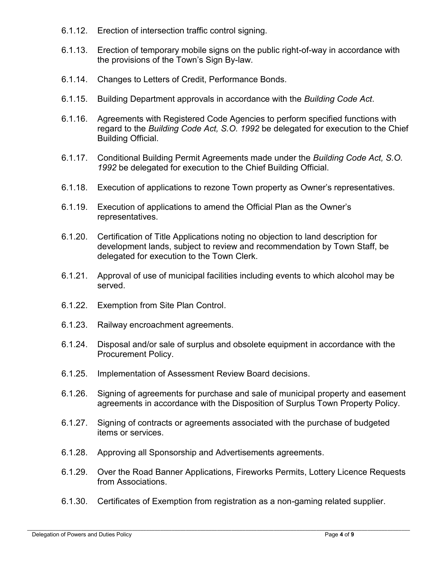- 6.1.12. Erection of intersection traffic control signing.
- 6.1.13. Erection of temporary mobile signs on the public right-of-way in accordance with the provisions of the Town's Sign By-law.
- 6.1.14. Changes to Letters of Credit, Performance Bonds.
- 6.1.15. Building Department approvals in accordance with the *Building Code Act*.
- 6.1.16. Agreements with Registered Code Agencies to perform specified functions with regard to the *Building Code Act, S.O. 1992* be delegated for execution to the Chief Building Official.
- 6.1.17. Conditional Building Permit Agreements made under the *Building Code Act, S.O. 1992* be delegated for execution to the Chief Building Official.
- 6.1.18. Execution of applications to rezone Town property as Owner's representatives.
- 6.1.19. Execution of applications to amend the Official Plan as the Owner's representatives.
- 6.1.20. Certification of Title Applications noting no objection to land description for development lands, subject to review and recommendation by Town Staff, be delegated for execution to the Town Clerk.
- 6.1.21. Approval of use of municipal facilities including events to which alcohol may be served.
- 6.1.22. Exemption from Site Plan Control.
- 6.1.23. Railway encroachment agreements.
- 6.1.24. Disposal and/or sale of surplus and obsolete equipment in accordance with the Procurement Policy.
- 6.1.25. Implementation of Assessment Review Board decisions.
- 6.1.26. Signing of agreements for purchase and sale of municipal property and easement agreements in accordance with the Disposition of Surplus Town Property Policy.
- 6.1.27. Signing of contracts or agreements associated with the purchase of budgeted items or services.
- 6.1.28. Approving all Sponsorship and Advertisements agreements.
- 6.1.29. Over the Road Banner Applications, Fireworks Permits, Lottery Licence Requests from Associations.
- 6.1.30. Certificates of Exemption from registration as a non-gaming related supplier.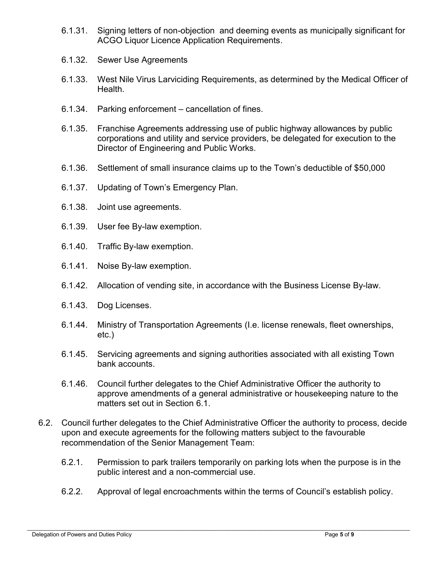- 6.1.31. Signing letters of non-objection and deeming events as municipally significant for ACGO Liquor Licence Application Requirements.
- 6.1.32. Sewer Use Agreements
- 6.1.33. West Nile Virus Larviciding Requirements, as determined by the Medical Officer of Health.
- 6.1.34. Parking enforcement cancellation of fines.
- 6.1.35. Franchise Agreements addressing use of public highway allowances by public corporations and utility and service providers, be delegated for execution to the Director of Engineering and Public Works.
- 6.1.36. Settlement of small insurance claims up to the Town's deductible of \$50,000
- 6.1.37. Updating of Town's Emergency Plan.
- 6.1.38. Joint use agreements.
- 6.1.39. User fee By-law exemption.
- 6.1.40. Traffic By-law exemption.
- 6.1.41. Noise By-law exemption.
- 6.1.42. Allocation of vending site, in accordance with the Business License By-law.
- 6.1.43. Dog Licenses.
- 6.1.44. Ministry of Transportation Agreements (I.e. license renewals, fleet ownerships, etc.)
- 6.1.45. Servicing agreements and signing authorities associated with all existing Town bank accounts.
- 6.1.46. Council further delegates to the Chief Administrative Officer the authority to approve amendments of a general administrative or housekeeping nature to the matters set out in Section 6.1.
- 6.2. Council further delegates to the Chief Administrative Officer the authority to process, decide upon and execute agreements for the following matters subject to the favourable recommendation of the Senior Management Team:
	- 6.2.1. Permission to park trailers temporarily on parking lots when the purpose is in the public interest and a non-commercial use.
	- 6.2.2. Approval of legal encroachments within the terms of Council's establish policy.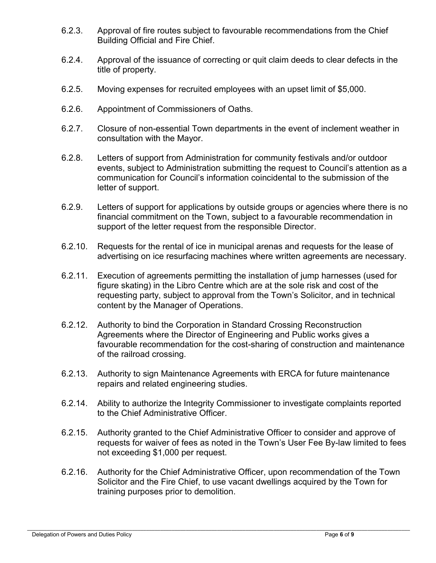- 6.2.3. Approval of fire routes subject to favourable recommendations from the Chief Building Official and Fire Chief.
- 6.2.4. Approval of the issuance of correcting or quit claim deeds to clear defects in the title of property.
- 6.2.5. Moving expenses for recruited employees with an upset limit of \$5,000.
- 6.2.6. Appointment of Commissioners of Oaths.
- 6.2.7. Closure of non-essential Town departments in the event of inclement weather in consultation with the Mayor.
- 6.2.8. Letters of support from Administration for community festivals and/or outdoor events, subject to Administration submitting the request to Council's attention as a communication for Council's information coincidental to the submission of the letter of support.
- 6.2.9. Letters of support for applications by outside groups or agencies where there is no financial commitment on the Town, subject to a favourable recommendation in support of the letter request from the responsible Director.
- 6.2.10. Requests for the rental of ice in municipal arenas and requests for the lease of advertising on ice resurfacing machines where written agreements are necessary.
- 6.2.11. Execution of agreements permitting the installation of jump harnesses (used for figure skating) in the Libro Centre which are at the sole risk and cost of the requesting party, subject to approval from the Town's Solicitor, and in technical content by the Manager of Operations.
- 6.2.12. Authority to bind the Corporation in Standard Crossing Reconstruction Agreements where the Director of Engineering and Public works gives a favourable recommendation for the cost-sharing of construction and maintenance of the railroad crossing.
- 6.2.13. Authority to sign Maintenance Agreements with ERCA for future maintenance repairs and related engineering studies.
- 6.2.14. Ability to authorize the Integrity Commissioner to investigate complaints reported to the Chief Administrative Officer.
- 6.2.15. Authority granted to the Chief Administrative Officer to consider and approve of requests for waiver of fees as noted in the Town's User Fee By-law limited to fees not exceeding \$1,000 per request.
- 6.2.16. Authority for the Chief Administrative Officer, upon recommendation of the Town Solicitor and the Fire Chief, to use vacant dwellings acquired by the Town for training purposes prior to demolition.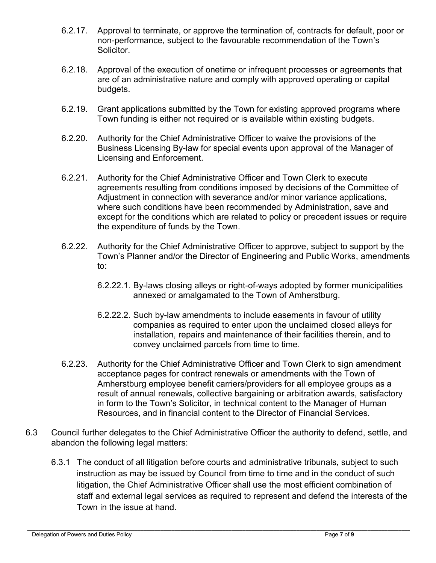- 6.2.17. Approval to terminate, or approve the termination of, contracts for default, poor or non-performance, subject to the favourable recommendation of the Town's Solicitor.
- 6.2.18. Approval of the execution of onetime or infrequent processes or agreements that are of an administrative nature and comply with approved operating or capital budgets.
- 6.2.19. Grant applications submitted by the Town for existing approved programs where Town funding is either not required or is available within existing budgets.
- 6.2.20. Authority for the Chief Administrative Officer to waive the provisions of the Business Licensing By-law for special events upon approval of the Manager of Licensing and Enforcement.
- 6.2.21. Authority for the Chief Administrative Officer and Town Clerk to execute agreements resulting from conditions imposed by decisions of the Committee of Adjustment in connection with severance and/or minor variance applications, where such conditions have been recommended by Administration, save and except for the conditions which are related to policy or precedent issues or require the expenditure of funds by the Town.
- 6.2.22. Authority for the Chief Administrative Officer to approve, subject to support by the Town's Planner and/or the Director of Engineering and Public Works, amendments to:
	- 6.2.22.1. By-laws closing alleys or right-of-ways adopted by former municipalities annexed or amalgamated to the Town of Amherstburg.
	- 6.2.22.2. Such by-law amendments to include easements in favour of utility companies as required to enter upon the unclaimed closed alleys for installation, repairs and maintenance of their facilities therein, and to convey unclaimed parcels from time to time.
- 6.2.23. Authority for the Chief Administrative Officer and Town Clerk to sign amendment acceptance pages for contract renewals or amendments with the Town of Amherstburg employee benefit carriers/providers for all employee groups as a result of annual renewals, collective bargaining or arbitration awards, satisfactory in form to the Town's Solicitor, in technical content to the Manager of Human Resources, and in financial content to the Director of Financial Services.
- 6.3 Council further delegates to the Chief Administrative Officer the authority to defend, settle, and abandon the following legal matters:
	- 6.3.1 The conduct of all litigation before courts and administrative tribunals, subject to such instruction as may be issued by Council from time to time and in the conduct of such litigation, the Chief Administrative Officer shall use the most efficient combination of staff and external legal services as required to represent and defend the interests of the Town in the issue at hand.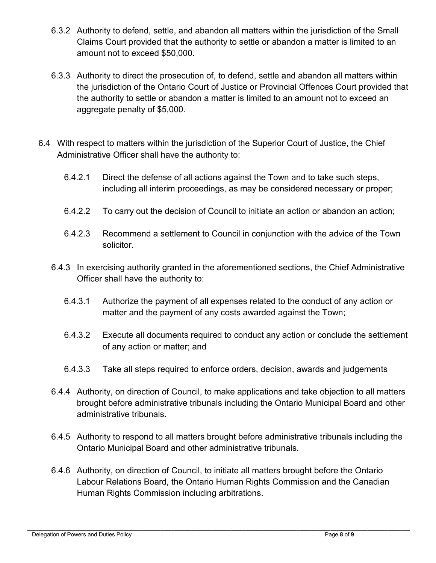- 6.3.2 Authority to defend, settle, and abandon all matters within the jurisdiction of the Small Claims Court provided that the authority to settle or abandon a matter is limited to an amount not to exceed \$50,000.
- 6.3.3 Authority to direct the prosecution of, to defend, settle and abandon all matters within the jurisdiction of the Ontario Court of Justice or Provincial Offences Court provided that the authority to settle or abandon a matter is limited to an amount not to exceed an aggregate penalty of \$5,000.
- 6.4 With respect to matters within the jurisdiction of the Superior Court of Justice, the Chief Administrative Officer shall have the authority to:
	- 6.4.2.1 Direct the defense of all actions against the Town and to take such steps, including all interim proceedings, as may be considered necessary or proper;
	- 6.4.2.2 To carry out the decision of Council to initiate an action or abandon an action;
	- 6.4.2.3 Recommend a settlement to Council in conjunction with the advice of the Town solicitor.
	- 6.4.3 In exercising authority granted in the aforementioned sections, the Chief Administrative Officer shall have the authority to:
		- 6.4.3.1 Authorize the payment of all expenses related to the conduct of any action or matter and the payment of any costs awarded against the Town;
		- 6.4.3.2 Execute all documents required to conduct any action or conclude the settlement of any action or matter; and
		- 6.4.3.3 Take all steps required to enforce orders, decision, awards and judgements
	- 6.4.4 Authority, on direction of Council, to make applications and take objection to all matters brought before administrative tribunals including the Ontario Municipal Board and other administrative tribunals.
	- 6.4.5 Authority to respond to all matters brought before administrative tribunals including the Ontario Municipal Board and other administrative tribunals.
	- 6.4.6 Authority, on direction of Council, to initiate all matters brought before the Ontario Labour Relations Board, the Ontario Human Rights Commission and the Canadian Human Rights Commission including arbitrations.